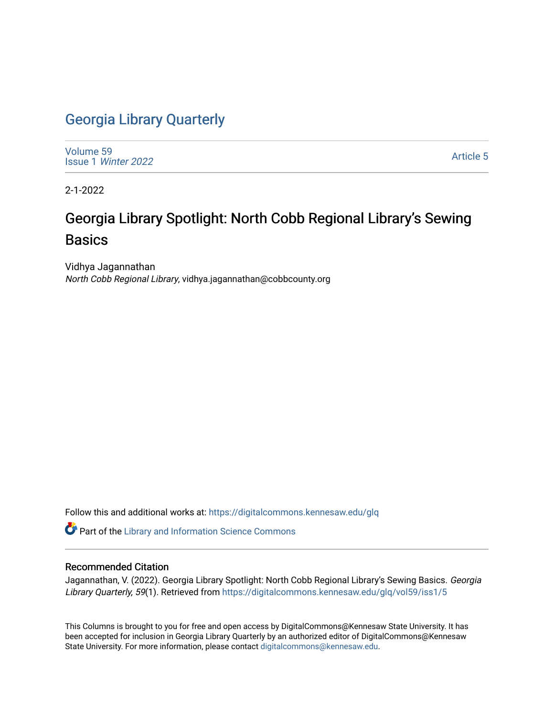## [Georgia Library Quarterly](https://digitalcommons.kennesaw.edu/glq)

[Volume 59](https://digitalcommons.kennesaw.edu/glq/vol59) Issue 1 [Winter 2022](https://digitalcommons.kennesaw.edu/glq/vol59/iss1) 

[Article 5](https://digitalcommons.kennesaw.edu/glq/vol59/iss1/5) 

2-1-2022

## Georgia Library Spotlight: North Cobb Regional Library's Sewing Basics

Vidhya Jagannathan North Cobb Regional Library, vidhya.jagannathan@cobbcounty.org

Follow this and additional works at: [https://digitalcommons.kennesaw.edu/glq](https://digitalcommons.kennesaw.edu/glq?utm_source=digitalcommons.kennesaw.edu%2Fglq%2Fvol59%2Fiss1%2F5&utm_medium=PDF&utm_campaign=PDFCoverPages) 

Part of the [Library and Information Science Commons](http://network.bepress.com/hgg/discipline/1018?utm_source=digitalcommons.kennesaw.edu%2Fglq%2Fvol59%2Fiss1%2F5&utm_medium=PDF&utm_campaign=PDFCoverPages) 

### Recommended Citation

Jagannathan, V. (2022). Georgia Library Spotlight: North Cobb Regional Library's Sewing Basics. Georgia Library Quarterly, 59(1). Retrieved from [https://digitalcommons.kennesaw.edu/glq/vol59/iss1/5](https://digitalcommons.kennesaw.edu/glq/vol59/iss1/5?utm_source=digitalcommons.kennesaw.edu%2Fglq%2Fvol59%2Fiss1%2F5&utm_medium=PDF&utm_campaign=PDFCoverPages)

This Columns is brought to you for free and open access by DigitalCommons@Kennesaw State University. It has been accepted for inclusion in Georgia Library Quarterly by an authorized editor of DigitalCommons@Kennesaw State University. For more information, please contact [digitalcommons@kennesaw.edu.](mailto:digitalcommons@kennesaw.edu)